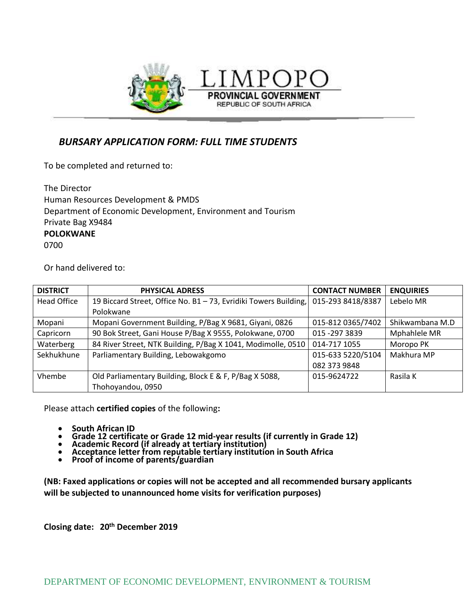

 *BURSARY APPLICATION FORM: FULL TIME STUDENTS*

To be completed and returned to:

| The Director                                                |
|-------------------------------------------------------------|
| Human Resources Development & PMDS                          |
| Department of Economic Development, Environment and Tourism |
| Private Bag X9484                                           |
| <b>POLOKWANE</b>                                            |
| 0700                                                        |

Or hand delivered to:

| <b>DISTRICT</b>    | <b>PHYSICAL ADRESS</b>                                           | <b>CONTACT NUMBER</b> | <b>ENQUIRIES</b> |
|--------------------|------------------------------------------------------------------|-----------------------|------------------|
| <b>Head Office</b> | 19 Biccard Street, Office No. B1 - 73, Evridiki Towers Building, | 015-293 8418/8387     | Lebelo MR        |
|                    | Polokwane                                                        |                       |                  |
| Mopani             | Mopani Government Building, P/Bag X 9681, Giyani, 0826           | 015-812 0365/7402     | Shikwambana M.D  |
| Capricorn          | 90 Bok Street, Gani House P/Bag X 9555, Polokwane, 0700          | 015 - 297 3839        | Mphahlele MR     |
| Waterberg          | 84 River Street, NTK Building, P/Bag X 1041, Modimolle, 0510     | 014-717 1055          | Moropo PK        |
| Sekhukhune         | Parliamentary Building, Lebowakgomo                              | 015-633 5220/5104     | Makhura MP       |
|                    |                                                                  | 082 373 9848          |                  |
| Vhembe             | Old Parliamentary Building, Block E & F, P/Bag X 5088,           | 015-9624722           | Rasila K         |
|                    | Thohoyandou, 0950                                                |                       |                  |

PROVINCIAL GOVERNMENT REPUBLIC OF SOUTH AFRICA

Please attach **certified copies** of the following**:**

- **South African ID**
- **Grade 12 certificate or Grade 12 mid-year results (if currently in Grade 12)**
- **Academic Record (if already at tertiary institution)**
- **Acceptance letter from reputable tertiary institution in South Africa**
- **Proof of income of parents/guardian**

**(NB: Faxed applications or copies will not be accepted and all recommended bursary applicants will be subjected to unannounced home visits for verification purposes)**

**Closing date: 20th December 2019**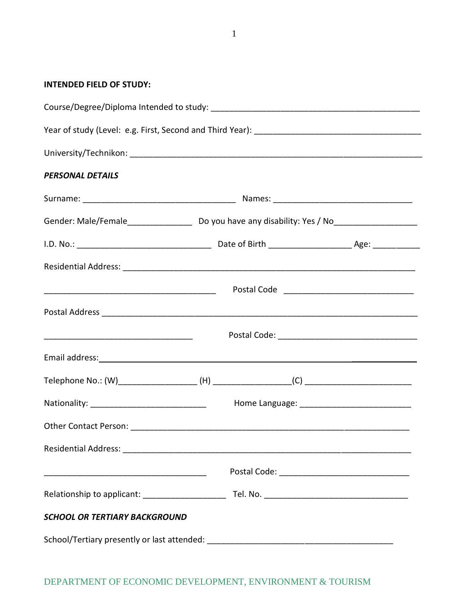**INTENDED FIELD OF STUDY:**

| <b>PERSONAL DETAILS</b>              |  |  |  |  |
|--------------------------------------|--|--|--|--|
|                                      |  |  |  |  |
|                                      |  |  |  |  |
|                                      |  |  |  |  |
|                                      |  |  |  |  |
|                                      |  |  |  |  |
|                                      |  |  |  |  |
|                                      |  |  |  |  |
|                                      |  |  |  |  |
|                                      |  |  |  |  |
|                                      |  |  |  |  |
|                                      |  |  |  |  |
|                                      |  |  |  |  |
|                                      |  |  |  |  |
|                                      |  |  |  |  |
| <b>SCHOOL OR TERTIARY BACKGROUND</b> |  |  |  |  |
|                                      |  |  |  |  |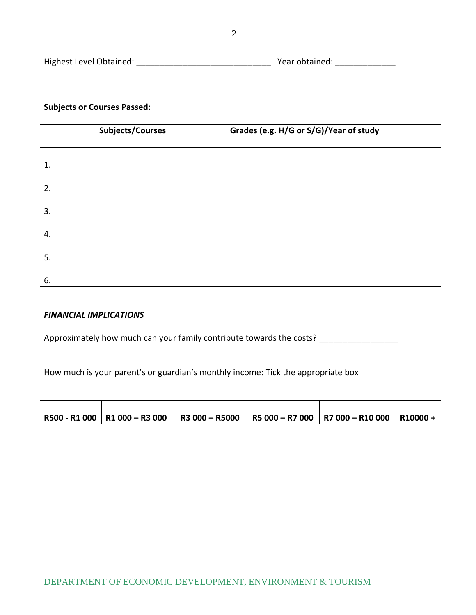| Highest Level Obtained: | Year obtained: |  |
|-------------------------|----------------|--|
|                         |                |  |
|                         |                |  |

## **Subjects or Courses Passed:**

| <b>Subjects/Courses</b> | Grades (e.g. H/G or S/G)/Year of study |  |  |
|-------------------------|----------------------------------------|--|--|
|                         |                                        |  |  |
| 1.                      |                                        |  |  |
| 2.                      |                                        |  |  |
|                         |                                        |  |  |
| 3.                      |                                        |  |  |
| 4.                      |                                        |  |  |
| 5.                      |                                        |  |  |
| 6.                      |                                        |  |  |

## *FINANCIAL IMPLICATIONS*

Approximately how much can your family contribute towards the costs? \_\_\_\_\_\_\_\_\_\_\_\_\_\_\_\_\_

How much is your parent's or guardian's monthly income: Tick the appropriate box

|  |  | │R500 - R1 000 │R1 000 − R3 000 │R3 000 − R5000 │R5 000 − R7 000 │R7 000 − R10 000 │R10000 + │ |  |
|--|--|------------------------------------------------------------------------------------------------|--|